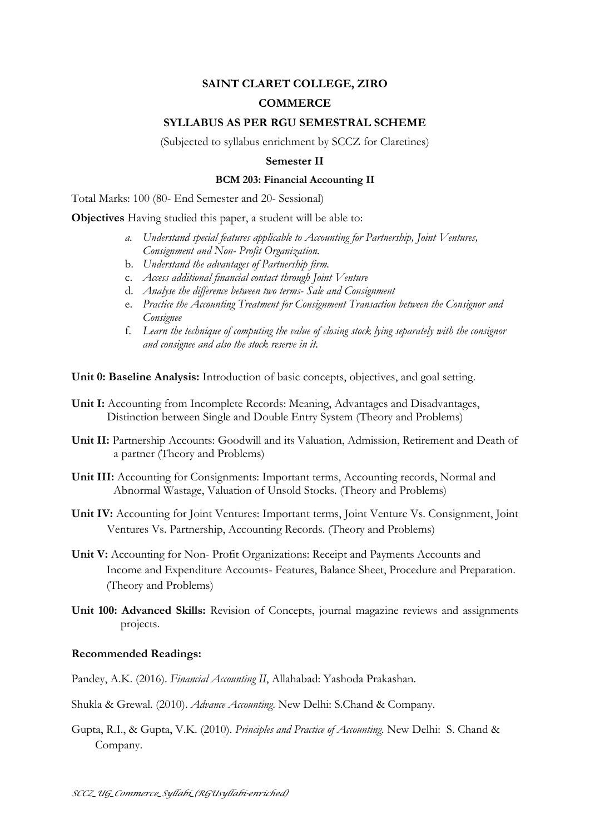# **SAINT CLARET COLLEGE, ZIRO**

## **COMMERCE**

### **SYLLABUS AS PER RGU SEMESTRAL SCHEME**

(Subjected to syllabus enrichment by SCCZ for Claretines)

### **Semester II**

#### **BCM 203: Financial Accounting II**

Total Marks: 100 (80- End Semester and 20- Sessional)

**Objectives** Having studied this paper, a student will be able to:

- *a. Understand special features applicable to Accounting for Partnership, Joint Ventures, Consignment and Non- Profit Organization.*
- b. *Understand the advantages of Partnership firm.*
- c. *Access additional financial contact through Joint Venture*
- d. *Analyse the difference between two terms- Sale and Consignment*
- e. *Practice the Accounting Treatment for Consignment Transaction between the Consignor and Consignee*
- f. *Learn the technique of computing the value of closing stock lying separately with the consignor and consignee and also the stock reserve in it.*

**Unit 0: Baseline Analysis:** Introduction of basic concepts, objectives, and goal setting.

- Unit I: Accounting from Incomplete Records: Meaning, Advantages and Disadvantages, Distinction between Single and Double Entry System (Theory and Problems)
- **Unit II:** Partnership Accounts: Goodwill and its Valuation, Admission, Retirement and Death of a partner (Theory and Problems)
- **Unit III:** Accounting for Consignments: Important terms, Accounting records, Normal and Abnormal Wastage, Valuation of Unsold Stocks. (Theory and Problems)
- **Unit IV:** Accounting for Joint Ventures: Important terms, Joint Venture Vs. Consignment, Joint Ventures Vs. Partnership, Accounting Records. (Theory and Problems)
- **Unit V:** Accounting for Non- Profit Organizations: Receipt and Payments Accounts and Income and Expenditure Accounts- Features, Balance Sheet, Procedure and Preparation. (Theory and Problems)
- **Unit 100: Advanced Skills:** Revision of Concepts, journal magazine reviews and assignments projects.

## **Recommended Readings:**

Pandey, A.K. (2016). *Financial Accounting II*, Allahabad: Yashoda Prakashan.

- Shukla & Grewal. (2010). *Advance Accounting*. New Delhi: S.Chand & Company.
- Gupta, R.I., & Gupta, V.K. (2010). *Principles and Practice of Accounting*. New Delhi: S. Chand & Company.